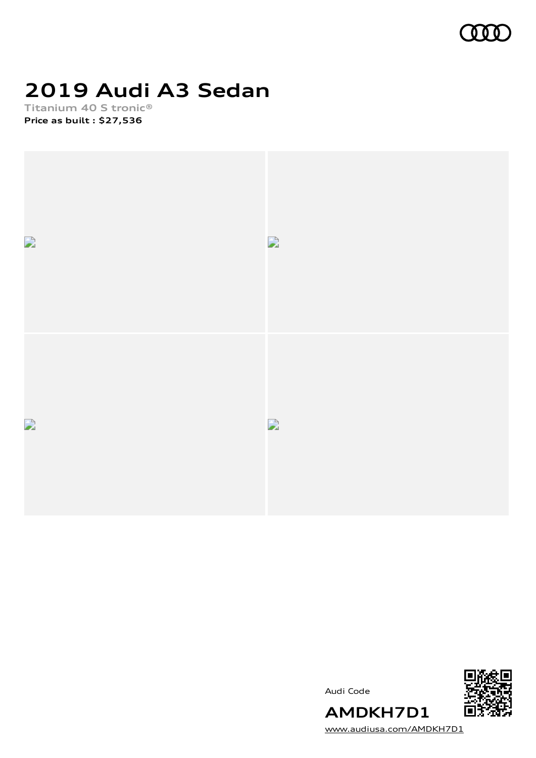

# **2019 Audi A3 Sedan**

**Titanium 40 S tronic® Price as built [:](#page-10-0) \$27,536**



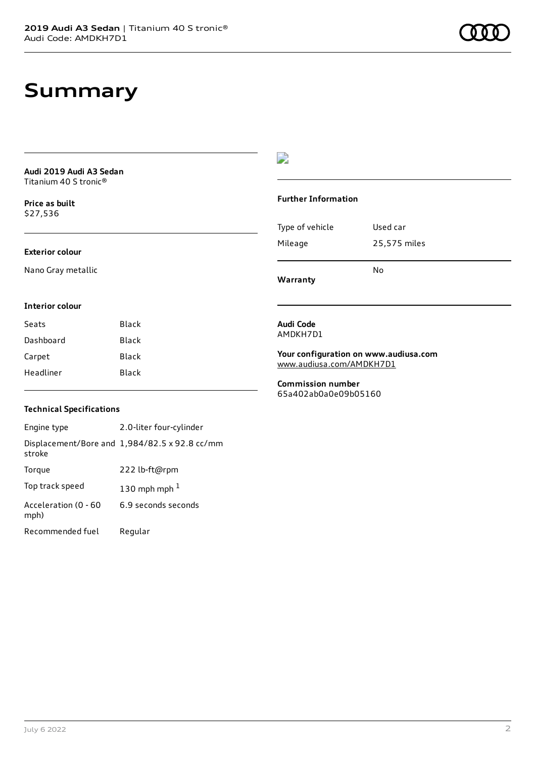### **Summary**

**Audi 2019 Audi A3 Sedan** Titanium 40 S tronic®

**Price as buil[t](#page-10-0)** \$27,536

### **Exterior colour**

Nano Gray metallic

#### **Interior colour**

| Black |
|-------|
| Black |
| Black |
| Black |
|       |

### D

#### **Further Information**

| Warranty        | N٥           |
|-----------------|--------------|
| Mileage         | 25,575 miles |
| Type of vehicle | Used car     |

#### **Audi Code** AMDKH7D1

**Your configuration on www.audiusa.com** [www.audiusa.com/AMDKH7D1](https://www.audiusa.com/AMDKH7D1)

**Commission number** 65a402ab0a0e09b05160

### **Technical Specifications**

Engine type 2.0-liter four-cylinder Displacement/Bore and 1,984/82.5 x 92.8 cc/mm stroke Torque 222 lb-ft@rpm Top track speed  $130$  $130$  mph mph  $^{\rm 1}$ Acceleration (0 - 60 mph) 6.9 seconds seconds Recommended fuel Regular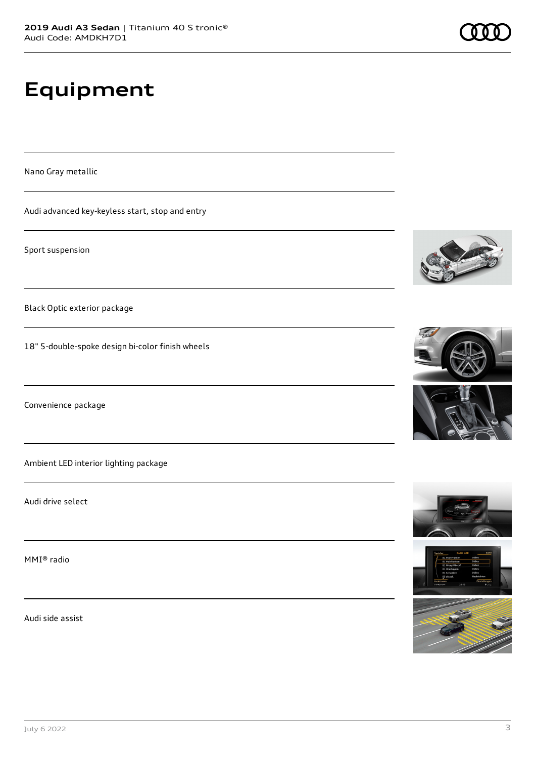# **Equipment**

Nano Gray metallic

Audi advanced key-keyless start, stop and entry

Sport suspension

Black Optic exterior package

18" 5-double-spoke design bi-color finish wheels

Convenience package

Ambient LED interior lighting package

Audi drive select

MMI® radio

Audi side assist











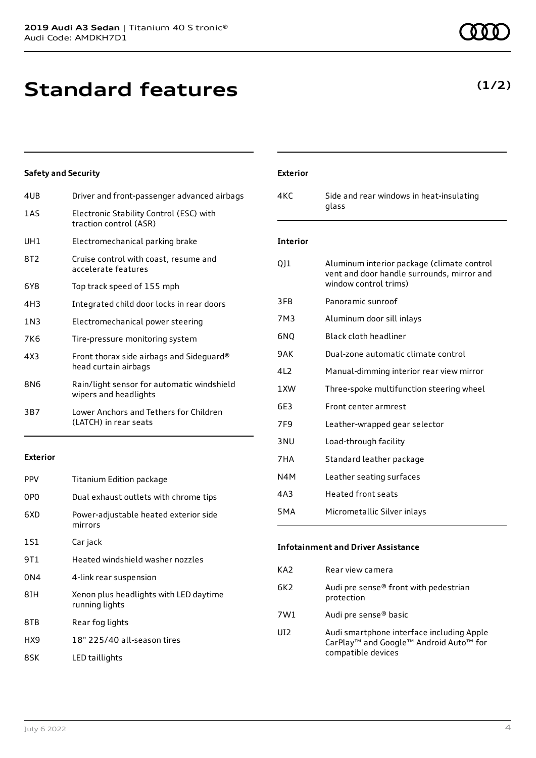**Standard features**

| 4UB             | Driver and front-passenger advanced airbags                         |
|-----------------|---------------------------------------------------------------------|
| 1 A S           | Electronic Stability Control (ESC) with<br>traction control (ASR)   |
| UH1             | Electromechanical parking brake                                     |
| 8T <sub>2</sub> | Cruise control with coast, resume and<br>accelerate features        |
| 6Y8             | Top track speed of 155 mph                                          |
| 4H3             | Integrated child door locks in rear doors                           |
| 1N3             | Electromechanical power steering                                    |
| 7K6             | Tire-pressure monitoring system                                     |
| 4X3             | Front thorax side airbags and Sideguard®<br>head curtain airbags    |
| 8N6             | Rain/light sensor for automatic windshield<br>wipers and headlights |
| 3B7             | Lower Anchors and Tethers for Children<br>(LATCH) in rear seats     |
|                 |                                                                     |

### **Exterior**

| <b>PPV</b>      | Titanium Edition package                                 |
|-----------------|----------------------------------------------------------|
| 0P <sub>0</sub> | Dual exhaust outlets with chrome tips                    |
| 6XD             | Power-adjustable heated exterior side<br>mirrors         |
| 1S1             | Car jack                                                 |
| 9T1             | Heated windshield washer nozzles                         |
| 0 <sub>N4</sub> | 4-link rear suspension                                   |
| 8IH             | Xenon plus headlights with LED daytime<br>running lights |
| 8TB             | Rear fog lights                                          |
| HX9             | 18" 225/40 all-season tires                              |
| 8SK             | LED taillights                                           |

# 4KC Side and rear windows in heat-insulating

glass

**Exterior**

### **Interior**

| QJ1              | Aluminum interior package (climate control<br>vent and door handle surrounds, mirror and<br>window control trims) |
|------------------|-------------------------------------------------------------------------------------------------------------------|
| 3FB              | Panoramic sunroof                                                                                                 |
| 7M3              | Aluminum door sill inlays                                                                                         |
| 6NQ              | Black cloth headliner                                                                                             |
| 9AK              | Dual-zone automatic climate control                                                                               |
| 412              | Manual-dimming interior rear view mirror                                                                          |
| 1 XW             | Three-spoke multifunction steering wheel                                                                          |
| 6F3              | Front center armrest                                                                                              |
| 7F <sub>9</sub>  | Leather-wrapped gear selector                                                                                     |
| 3 <sub>NU</sub>  | Load-through facility                                                                                             |
| 7HA              | Standard leather package                                                                                          |
| N4M              | Leather seating surfaces                                                                                          |
| 4A3              | Heated front seats                                                                                                |
| 5 <sub>M</sub> A | Micrometallic Silver inlays                                                                                       |
|                  |                                                                                                                   |

### **Infotainment and Driver Assistance**

| KA <sub>2</sub> | Rear view camera                                                                                                                              |
|-----------------|-----------------------------------------------------------------------------------------------------------------------------------------------|
| 6K2             | Audi pre sense® front with pedestrian<br>protection                                                                                           |
| 7W1             | Audi pre sense <sup>®</sup> basic                                                                                                             |
| UI <sub>2</sub> | Audi smartphone interface including Apple<br>CarPlay <sup>™</sup> and Google <sup>™</sup> Android Auto <sup>™</sup> for<br>compatible devices |

### **(1/2)**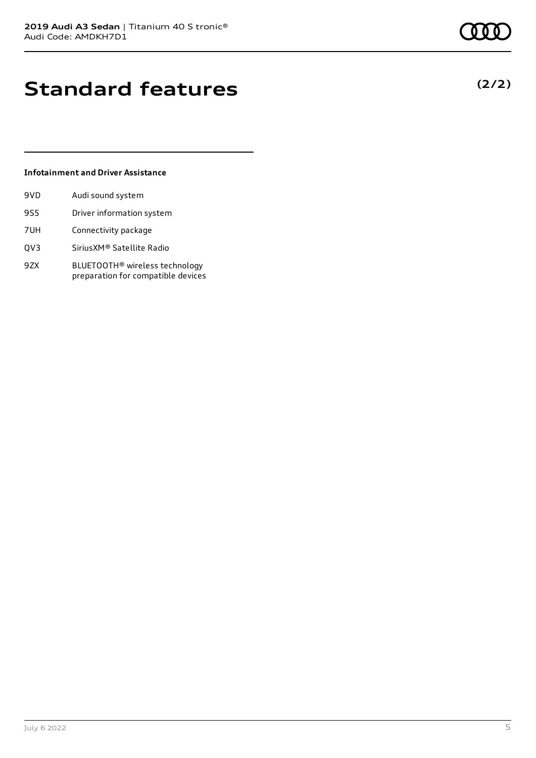### **Standard features**

### **Infotainment and Driver Assistance**

| 9VD. | Audi sound system         |
|------|---------------------------|
| 9S5  | Driver information system |
| 7UH  | Connectivity package      |

- QV3 SiriusXM® Satellite Radio
- 9ZX BLUETOOTH® wireless technology preparation for compatible devices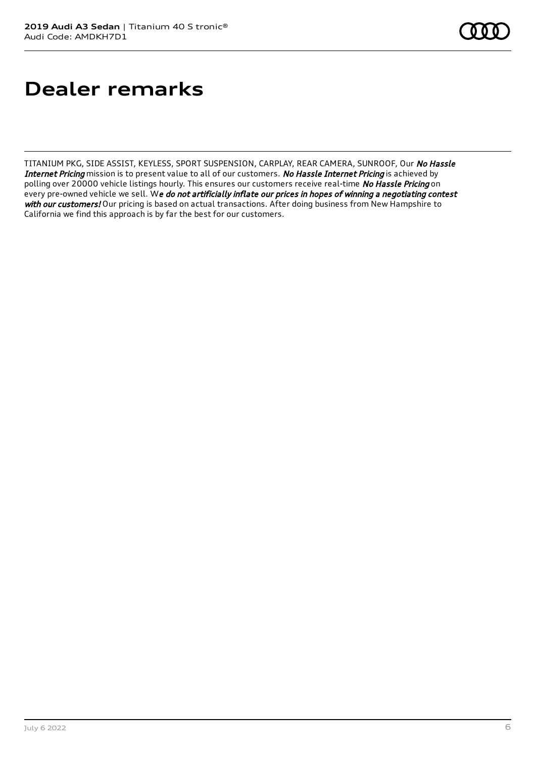### **Dealer remarks**

TITANIUM PKG, SIDE ASSIST, KEYLESS, SPORT SUSPENSION, CARPLAY, REAR CAMERA, SUNROOF, Our No Hassle Internet Pricing mission is to present value to all of our customers. No Hassle Internet Pricing is achieved by polling over 20000 vehicle listings hourly. This ensures our customers receive real-time No Hassle Pricing on every pre-owned vehicle we sell. We do not artificially inflate our prices in hopes of winning a negotiating contest with our customers! Our pricing is based on actual transactions. After doing business from New Hampshire to California we find this approach is by far the best for our customers.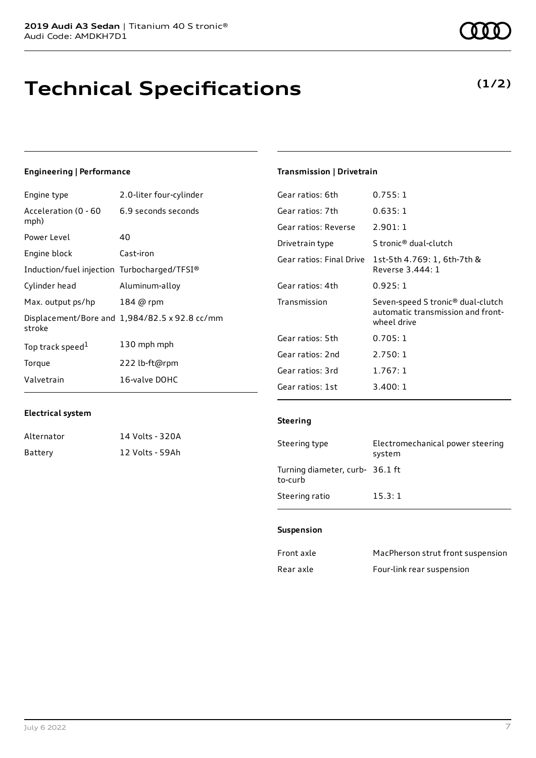# **Technical Specifications**

### **Engineering | Performance**

| Engine type                                 | 2.0-liter four-cylinder                       |
|---------------------------------------------|-----------------------------------------------|
| Acceleration (0 - 60<br>mph)                | 6.9 seconds seconds                           |
| Power Level                                 | 40                                            |
| Engine block                                | Cast-iron                                     |
| Induction/fuel injection Turbocharged/TFSI® |                                               |
| Cylinder head                               | Aluminum-alloy                                |
| Max. output ps/hp                           | 184 @ rpm                                     |
| stroke                                      | Displacement/Bore and 1,984/82.5 x 92.8 cc/mm |
| Top track speed <sup>1</sup>                | 130 mph mph                                   |
| Torque                                      | 222 lb-ft@rpm                                 |
| Valvetrain                                  | 16-valve DOHC                                 |

### **Transmission | Drivetrain**

| Gear ratios: 6th         | 0.755:1                                                                                           |
|--------------------------|---------------------------------------------------------------------------------------------------|
| Gear ratios: 7th         | 0.635:1                                                                                           |
| Gear ratios: Reverse     | 2.901:1                                                                                           |
| Drivetrain type          | S tronic <sup>®</sup> dual-clutch                                                                 |
| Gear ratios: Final Drive | 1st-5th 4.769: 1, 6th-7th &<br>Reverse 3.444: 1                                                   |
| Gear ratios: 4th         | 0.925:1                                                                                           |
| Transmission             | Seven-speed S tronic <sup>®</sup> dual-clutch<br>automatic transmission and front-<br>wheel drive |
| Gear ratios: 5th         | 0.705:1                                                                                           |
| Gear ratios: 2nd         | 2.750:1                                                                                           |
| Gear ratios: 3rd         | 1.767:1                                                                                           |
|                          |                                                                                                   |

### **Electrical system**

| Alternator | 14 Volts - 320A |
|------------|-----------------|
| Battery    | 12 Volts - 59Ah |

### **Steering**

| Steering type                              | Electromechanical power steering<br>system |
|--------------------------------------------|--------------------------------------------|
| Turning diameter, curb- 36.1 ft<br>to-curb |                                            |
| Steering ratio                             | 15.3:1                                     |

#### **Suspension**

| Front axle | MacPherson strut front suspension |
|------------|-----------------------------------|
| Rear axle  | Four-link rear suspension         |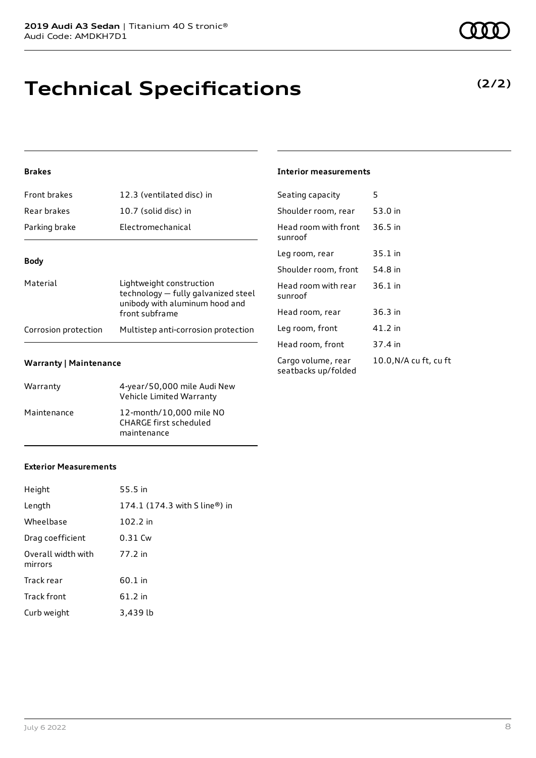# **Technical Specifications**

### **Brakes**

| <b>Front brakes</b>  | 12.3 (ventilated disc) in                                                                                           |
|----------------------|---------------------------------------------------------------------------------------------------------------------|
| Rear brakes          | 10.7 (solid disc) in                                                                                                |
| Parking brake        | Electromechanical                                                                                                   |
| <b>Body</b>          |                                                                                                                     |
| Material             | Lightweight construction<br>technology - fully galvanized steel<br>unibody with aluminum hood and<br>front subframe |
| Corrosion protection | Multistep anti-corrosion protection                                                                                 |

### **Warranty | Maintenance**

| Warranty    | 4-year/50,000 mile Audi New<br>Vehicle Limited Warranty                 |
|-------------|-------------------------------------------------------------------------|
| Maintenance | 12-month/10,000 mile NO<br><b>CHARGE first scheduled</b><br>maintenance |

#### **Interior measurements**

| Seating capacity                          | 5                      |
|-------------------------------------------|------------------------|
| Shoulder room, rear                       | 53.0 in                |
| Head room with front<br>sunroof           | 36.5 in                |
| Leg room, rear                            | 35.1 in                |
| Shoulder room, front                      | 54.8 in                |
| Head room with rear<br>sunroof            | 36.1 in                |
| Head room, rear                           | 36.3 in                |
| Leg room, front                           | 41.2 in                |
| Head room, front                          | 37.4 in                |
| Cargo volume, rear<br>seatbacks up/folded | 10.0, N/A cu ft, cu ft |

### **Exterior Measurements**

| Height                        | 55.5 in                                                     |
|-------------------------------|-------------------------------------------------------------|
| Length                        | 174.1 $(174.3 \text{ with } S \text{ line}^{\circledR})$ in |
| Wheelbase                     | 102.2 in                                                    |
| Drag coefficient              | 0.31 Cw                                                     |
| Overall width with<br>mirrors | 77.2 in                                                     |
| Track rear                    | 60.1 in                                                     |
| Track front                   | 61.2 in                                                     |
| Curb weight                   | 3,439 lb                                                    |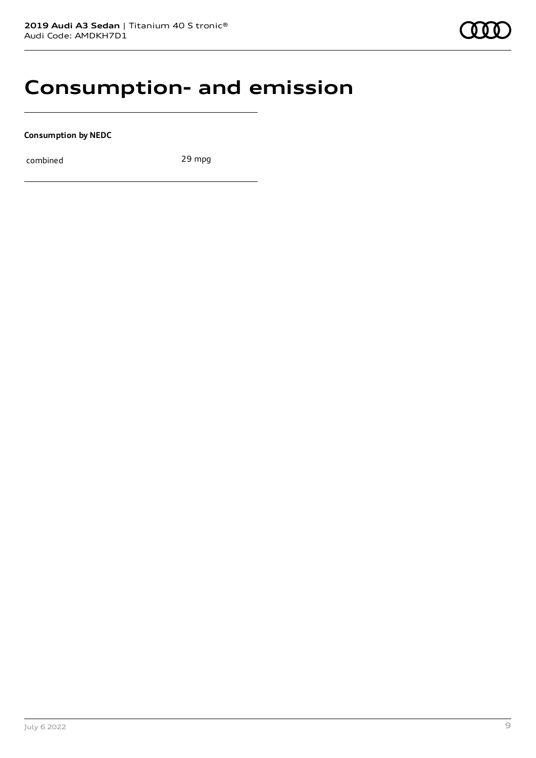### **Consumption- and emission**

**Consumption by NEDC**

combined 29 mpg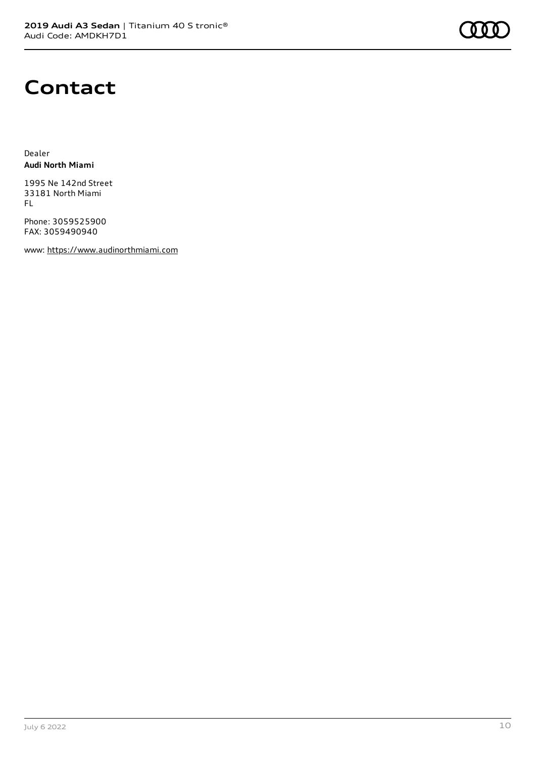

### **Contact**

Dealer **Audi North Miami**

1995 Ne 142nd Street 33181 North Miami FL

Phone: 3059525900 FAX: 3059490940

www: [https://www.audinorthmiami.com](https://www.audinorthmiami.com/)